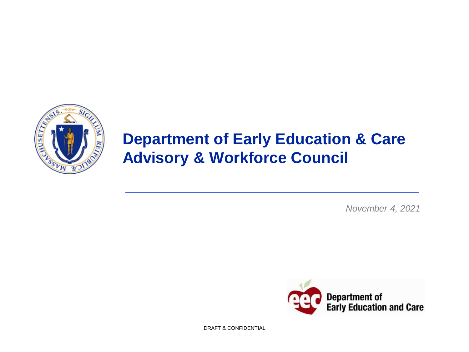

# **Department of Early Education & Care Advisory & Workforce Council**

*November 4, 2021*



DRAFT & CONFIDENTIAL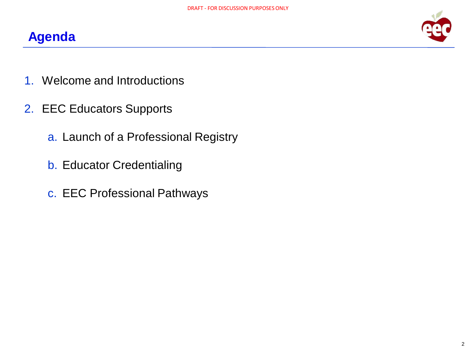



- 1. Welcome and Introductions
- 2. EEC Educators Supports
	- a. Launch of a Professional Registry
	- b. Educator Credentialing
	- c. EEC Professional Pathways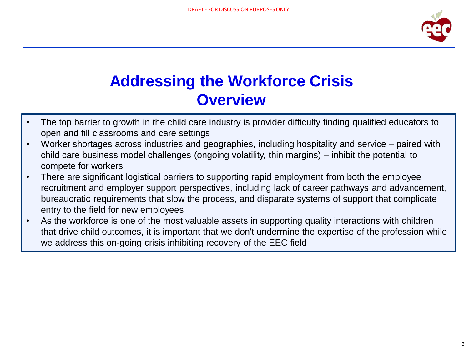

# **Addressing the Workforce Crisis Overview**

- The top barrier to growth in the child care industry is provider difficulty finding qualified educators to open and fill classrooms and care settings
- Worker shortages across industries and geographies, including hospitality and service paired with child care business model challenges (ongoing volatility, thin margins) – inhibit the potential to compete for workers
- There are significant logistical barriers to supporting rapid employment from both the employee recruitment and employer support perspectives, including lack of career pathways and advancement, bureaucratic requirements that slow the process, and disparate systems of support that complicate entry to the field for new employees
- As the workforce is one of the most valuable assets in supporting quality interactions with children that drive child outcomes, it is important that we don't undermine the expertise of the profession while we address this on-going crisis inhibiting recovery of the EEC field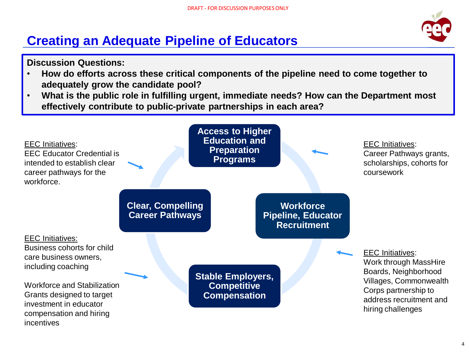## **Creating an Adequate Pipeline of Educators**

#### **Discussion Questions:**

- **How do efforts across these critical components of the pipeline need to come together to adequately grow the candidate pool?**
- **What is the public role in fulfilling urgent, immediate needs? How can the Department most effectively contribute to public-private partnerships in each area?**

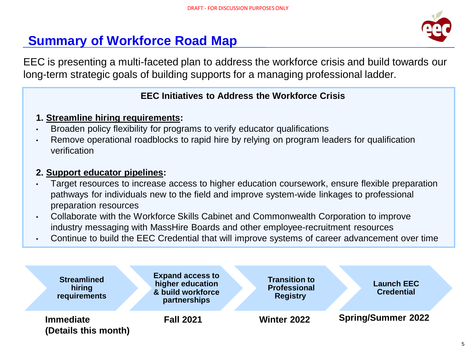### **Summary of Workforce Road Map**



EEC is presenting a multi-faceted plan to address the workforce crisis and build towards our long-term strategic goals of building supports for a managing professional ladder.

#### **EEC Initiatives to Address the Workforce Crisis**

- **1. Streamline hiring requirements:**
- Broaden policy flexibility for programs to verify educator qualifications
- Remove operational roadblocks to rapid hire by relying on program leaders for qualification verification

#### **2. Support educator pipelines:**

- Target resources to increase access to higher education coursework, ensure flexible preparation pathways for individuals new to the field and improve system-wide linkages to professional preparation resources
- Collaborate with the Workforce Skills Cabinet and Commonwealth Corporation to improve industry messaging with MassHire Boards and other employee-recruitment resources
- Continue to build the EEC Credential that will improve systems of career advancement over time

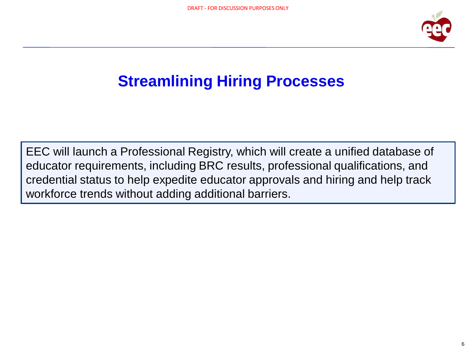

# **Streamlining Hiring Processes**

EEC will launch a Professional Registry, which will create a unified database of educator requirements, including BRC results, professional qualifications, and credential status to help expedite educator approvals and hiring and help track workforce trends without adding additional barriers.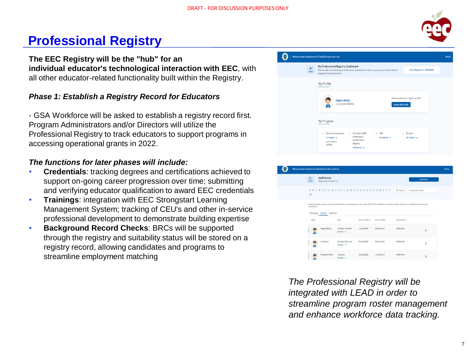

### **Professional Registry**

**The EEC Registry will be the "hub" for an individual educator's technological interaction with EEC**, with all other educator-related functionality built within the Registry.

#### *Phase 1: Establish a Registry Record for Educators*

- GSA Workforce will be asked to establish a registry record first. Program Administrators and/or Directors will utilize the Professional Registry to track educators to support programs in accessing operational grants in 2022.

#### *The functions for later phases will include:*

- **Credentials**: tracking degrees and certifications achieved to support on-going career progression over time; submitting and verifying educator qualification to award EEC credentials
- **Trainings**: integration with EEC Strongstart Learning Management System; tracking of CEU's and other in-service professional development to demonstrate building expertise
- **Background Record Checks**: BRCs will be supported through the registry and suitability status will be stored on a registry record, allowing candidates and programs to streamline employment matching

|                      | Massachusetts Department of Early Education and Care                                                                                                                                                    |                                                                  |                                                           | Home |
|----------------------|---------------------------------------------------------------------------------------------------------------------------------------------------------------------------------------------------------|------------------------------------------------------------------|-----------------------------------------------------------|------|
| $\leftarrow$<br>HOME | My Professional Registry Dashboard<br>Your Registry ID - 00009260<br>Please make sure to keep your information updated and make sure you are associated with all<br>programs that you work for!         |                                                                  |                                                           |      |
|                      | My Profile                                                                                                                                                                                              |                                                                  |                                                           |      |
|                      | <b>Angela Kenis</b><br>Last Updated:9/8/2021                                                                                                                                                            | Please update your registry profile!<br><b>Update My Profile</b> |                                                           |      |
|                      | My Progress                                                                                                                                                                                             |                                                                  |                                                           |      |
|                      | Personal Information<br>Education & EEC<br>$\alpha$<br>$\mathbb{R}$<br>٠<br>Professional<br>In Progress →<br>Qualifications<br><b>LAST UPDATED</b><br>Registry<br>9/8/2021<br>Not Started $\rightarrow$ | CPR<br>Not Started $\rightarrow$                                 | <b>First Aid</b><br>$\alpha$<br>Not Started $\rightarrow$ |      |



*The Professional Registry will be integrated with LEAD in order to streamline program roster management and enhance workforce data tracking.*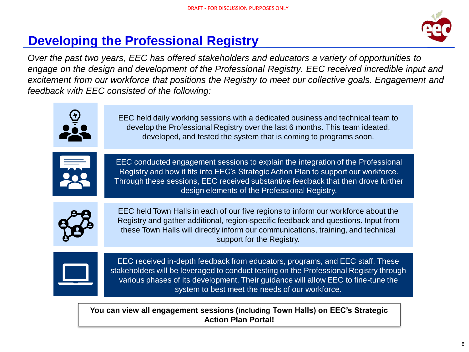

## **Developing the Professional Registry**

*Over the past two years, EEC has offered stakeholders and educators a variety of opportunities to engage on the design and development of the Professional Registry. EEC received incredible input and excitement from our workforce that positions the Registry to meet our collective goals. Engagement and feedback with EEC consisted of the following:*

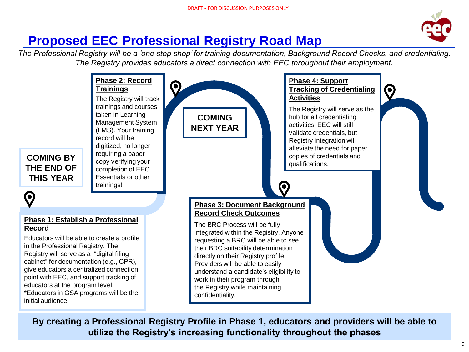

### **Proposed EEC Professional Registry Road Map**

*The Professional Registry will be a 'one stop shop' for training documentation, Background Record Checks, and credentialing. The Registry provides educators a direct connection with EEC throughout their employment.*



**By creating a Professional Registry Profile in Phase 1, educators and providers will be able to utilize the Registry's increasing functionality throughout the phases**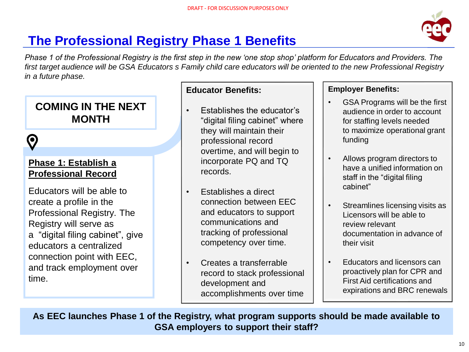

## **The Professional Registry Phase 1 Benefits**

*Phase 1 of the Professional Registry is the first step in the new 'one stop shop' platform for Educators and Providers. The first target audience will be GSA Educators s Family child care educators will be oriented to the new Professional Registry in a future phase.*

### **COMING IN THE NEXT MONTH**



### **Phase 1: Establish a Professional Record**

Educators will be able to create a profile in the Professional Registry. The Registry will serve as a "digital filing cabinet", give educators a centralized connection point with EEC, and track employment over time.

#### **Educator Benefits:**

- Establishes the educator's "digital filing cabinet" where they will maintain their professional record overtime, and will begin to incorporate PQ and TQ records.
- Establishes a direct connection between EEC and educators to support communications and tracking of professional competency over time.
- Creates a transferrable record to stack professional development and accomplishments over time

#### **Employer Benefits:**

- GSA Programs will be the first audience in order to account for staffing levels needed to maximize operational grant funding
- Allows program directors to have a unified information on staff in the "digital filing cabinet"
- Streamlines licensing visits as Licensors will be able to review relevant documentation in advance of their visit
- Educators and licensors can proactively plan for CPR and First Aid certifications and expirations and BRC renewals

**As EEC launches Phase 1 of the Registry, what program supports should be made available to GSA employers to support their staff?**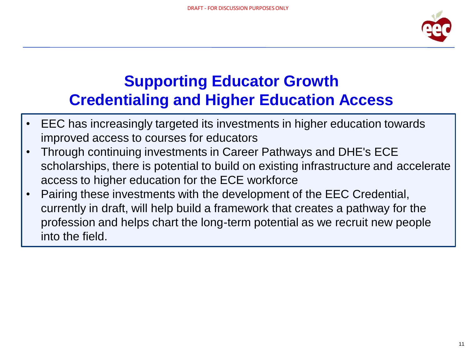

# **Supporting Educator Growth Credentialing and Higher Education Access**

- EEC has increasingly targeted its investments in higher education towards improved access to courses for educators
- Through continuing investments in Career Pathways and DHE's ECE scholarships, there is potential to build on existing infrastructure and accelerate access to higher education for the ECE workforce
- Pairing these investments with the development of the EEC Credential, currently in draft, will help build a framework that creates a pathway for the profession and helps chart the long-term potential as we recruit new people into the field.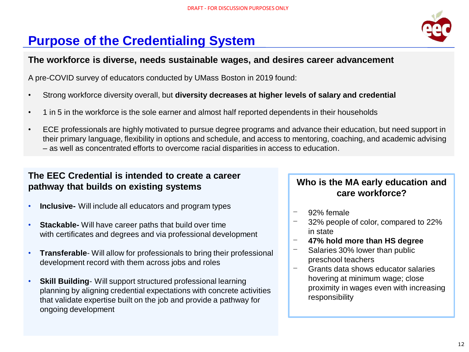### **Purpose of the Credentialing System**

#### **The workforce is diverse, needs sustainable wages, and desires career advancement**

A pre-COVID survey of educators conducted by UMass Boston in 2019 found:

- Strong workforce diversity overall, but **diversity decreases at higher levels of salary and credential**
- 1 in 5 in the workforce is the sole earner and almost half reported dependents in their households
- ECE professionals are highly motivated to pursue degree programs and advance their education, but need support in their primary language, flexibility in options and schedule, and access to mentoring, coaching, and academic advising – as well as concentrated efforts to overcome racial disparities in access to education.

#### **The EEC Credential is intended to create a career pathway that builds on existing systems**

- **Inclusive-** Will include all educators and program types
- **Stackable-** Will have career paths that build over time with certificates and degrees and via professional development
- **Transferable** Will allow for professionals to bring their professional development record with them across jobs and roles
- **Skill Building** Will support structured professional learning planning by aligning credential expectations with concrete activities that validate expertise built on the job and provide a pathway for ongoing development

### **Who is the MA early education and care workforce?**

- 92% female
- 32% people of color, compared to 22% in state
- ⎻ **47% hold more than HS degree**
- Salaries 30% lower than public preschool teachers
- Grants data shows educator salaries hovering at minimum wage; close proximity in wages even with increasing responsibility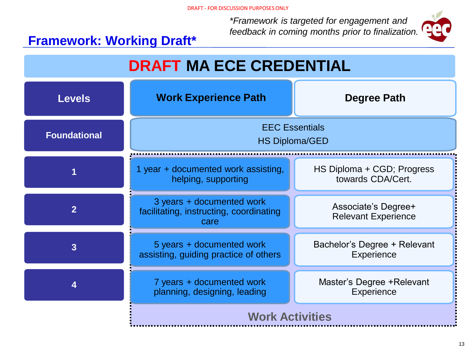*\*Framework is targeted for engagement and feedback in coming months prior to finalization.*



### **Framework: Working Draft\***

. . . . . . . . . . . .

| <b>DRAFT MA ECE CREDENTIAL</b> |                                                                              |                                                   |  |  |
|--------------------------------|------------------------------------------------------------------------------|---------------------------------------------------|--|--|
| <b>Levels</b>                  | <b>Work Experience Path</b>                                                  | Degree Path                                       |  |  |
| <b>Foundational</b>            | <b>EEC Essentials</b><br><b>HS Diploma/GED</b>                               |                                                   |  |  |
|                                | 1 year + documented work assisting,<br>helping, supporting                   | HS Diploma + CGD; Progress<br>towards CDA/Cert.   |  |  |
| $\overline{2}$                 | 3 years + documented work<br>facilitating, instructing, coordinating<br>care | Associate's Degree+<br><b>Relevant Experience</b> |  |  |
| $\overline{3}$                 | 5 years + documented work<br>assisting, guiding practice of others           | Bachelor's Degree + Relevant<br>Experience        |  |  |
| 4                              | 7 years + documented work<br>planning, designing, leading                    | Master's Degree + Relevant<br>Experience          |  |  |
|                                | <b>Work Activities</b>                                                       |                                                   |  |  |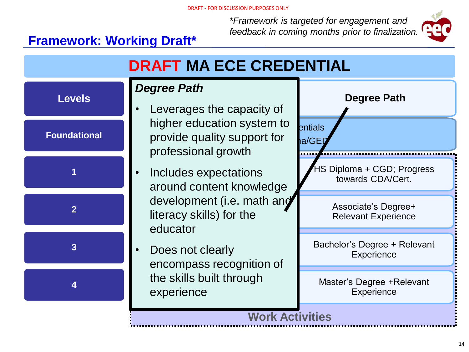*\*Framework is targeted for engagement and feedback in coming months prior to finalization.*



### **Framework: Working Draft\***

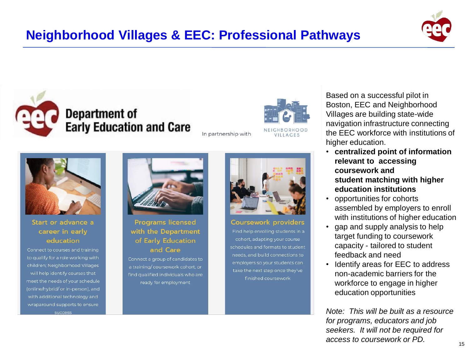







#### Start or advance a career in early education

Connect to courses and training to qualify for a role working with children; Neighborhood Villages will help identify courses that meet the needs of your schedule (online/hybrid/ or in-person), and with additional technology and wraparound supports to ensure success



**Programs licensed** with the Department of Early Education and Care

Connect a group of candidates to a training/ coursework cohort, or find qualified individuals who are ready for employment



#### **Coursework providers**

Find help enrolling students in a cohort, adapting your course schedules and formats to student needs, and build connections to employers so your students can take the next step once they've finished coursework

Based on a successful pilot in Boston, EEC and Neighborhood Villages are building state-wide navigation infrastructure connecting the EEC workforce with institutions of higher education.

- **centralized point of information relevant to accessing coursework and student matching with higher education institutions**
- opportunities for cohorts assembled by employers to enroll with institutions of higher education
- gap and supply analysis to help target funding to coursework capacity - tailored to student feedback and need
- Identify areas for EEC to address non-academic barriers for the workforce to engage in higher education opportunities

*Note: This will be built as a resource for programs, educators and job seekers. It will not be required for access to coursework or PD.*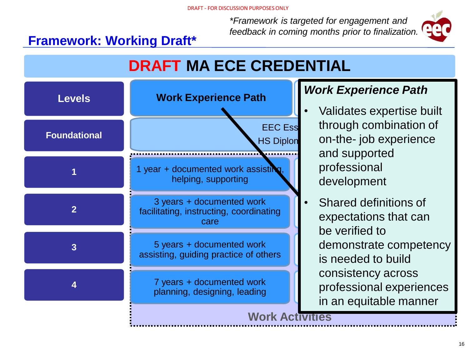*\*Framework is targeted for engagement and feedback in coming months prior to finalization.*



### **Framework: Working Draft\***

# **DRAFT MA ECE CREDENTIAL**



#### **Degree Path** *Work Experience Path*

- professional entitled and development • Validates expertise built through combination of on-the- job experience and supported
- Shared definitions of expectations that can demonstrate competency is needed to build nrofoegional ovporione professional experiences be verified to consistency across in an equitable manner

**Work Activities**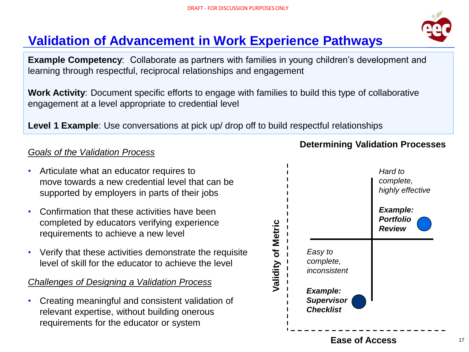## **Validation of Advancement in Work Experience Pathways**

**Example Competency**: Collaborate as partners with families in young children's development and learning through respectful, reciprocal relationships and engagement

**Work Activity**: Document specific efforts to engage with families to build this type of collaborative engagement at a level appropriate to credential level

**Level 1 Example**: Use conversations at pick up/ drop off to build respectful relationships

### *Goals of the Validation Process*

- Articulate what an educator requires to move towards a new credential level that can be supported by employers in parts of their jobs
- Confirmation that these activities have been completed by educators verifying experience requirements to achieve a new level
- Verify that these activities demonstrate the requisite level of skill for the educator to achieve the level

#### *Challenges of Designing a Validation Process*

• Creating meaningful and consistent validation of relevant expertise, without building onerous requirements for the educator or system



#### **Determining Validation Processes**